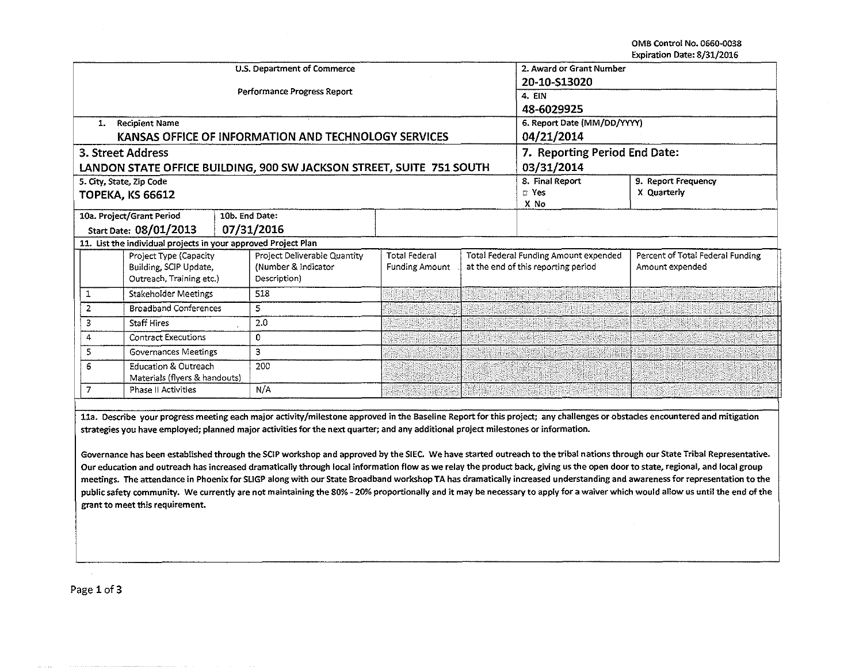OMB Control No. 0660-0038 Expiration Date: 8/31/2016

|                                                                                             |                                                  | U.S. Department of Commerce | 2. Award or Grant Number                             |                               |       |                                       |                                  |
|---------------------------------------------------------------------------------------------|--------------------------------------------------|-----------------------------|------------------------------------------------------|-------------------------------|-------|---------------------------------------|----------------------------------|
|                                                                                             |                                                  |                             |                                                      | 20-10-S13020                  |       |                                       |                                  |
|                                                                                             |                                                  |                             | Performance Progress Report                          | 4. EIN                        |       |                                       |                                  |
|                                                                                             |                                                  |                             |                                                      |                               |       | 48-6029925                            |                                  |
| 1.                                                                                          | <b>Recipient Name</b>                            |                             |                                                      | 6. Report Date (MM/DD/YYYY)   |       |                                       |                                  |
|                                                                                             |                                                  |                             | KANSAS OFFICE OF INFORMATION AND TECHNOLOGY SERVICES | 04/21/2014                    |       |                                       |                                  |
|                                                                                             | 3. Street Address                                |                             |                                                      | 7. Reporting Period End Date: |       |                                       |                                  |
| 03/31/2014<br>LANDON STATE OFFICE BUILDING, 900 SW JACKSON STREET, SUITE 751 SOUTH          |                                                  |                             |                                                      |                               |       |                                       |                                  |
|                                                                                             | 5. City, State, Zip Code                         |                             |                                                      |                               |       | 8. Final Report                       | 9. Report Frequency              |
|                                                                                             | <b>TOPEKA, KS 66612</b>                          |                             |                                                      |                               | m Yes | X Quarterly                           |                                  |
| X No<br>10a. Project/Grant Period<br>10b. End Date:<br>Start Date: 08/01/2013<br>07/31/2016 |                                                  |                             |                                                      |                               |       |                                       |                                  |
|                                                                                             |                                                  |                             |                                                      |                               |       |                                       |                                  |
| 11. List the individual projects in your approved Project Plan                              |                                                  |                             |                                                      |                               |       |                                       |                                  |
|                                                                                             |                                                  |                             |                                                      |                               |       |                                       |                                  |
|                                                                                             | Project Type (Capacity<br>Building, SCIP Update, |                             | Project Deliverable Quantity                         | <b>Total Federal</b>          |       | Total Federal Funding Amount expended | Percent of Total Federal Funding |
|                                                                                             |                                                  |                             | (Number & Indicator<br>Description)                  | <b>Funding Amount</b>         |       | at the end of this reporting period   | Amount expended                  |
|                                                                                             | Outreach, Training etc.)                         |                             |                                                      |                               |       |                                       |                                  |
| $1 -$                                                                                       | Stakeholder Meetings                             |                             | 518                                                  |                               |       |                                       |                                  |
| $\overline{2}$                                                                              | <b>Broadband Conferences</b>                     |                             | 5                                                    |                               |       |                                       |                                  |
| 3                                                                                           | <b>Staff Hires</b>                               |                             | 2.0                                                  |                               |       |                                       |                                  |
| 4                                                                                           | <b>Contract Executions</b>                       |                             | 0                                                    |                               |       |                                       |                                  |
| 5                                                                                           | Governances Meetings                             |                             | 3                                                    |                               |       |                                       |                                  |
| <b>Education &amp; Outreach</b><br>6<br>Materials (flyers & handouts)                       |                                                  | 200                         |                                                      |                               |       |                                       |                                  |
| 7                                                                                           | Phase II Activities                              |                             | N/A                                                  |                               |       |                                       |                                  |
|                                                                                             |                                                  |                             |                                                      |                               |       |                                       |                                  |

lla. Describe your progress meeting each major activity/milestone approved in the Baseline Report for this project; any challenges or obstacles encountered and mitigation strategies you have employed; planned major activities for the next quarter; and any additional project milestones or information.

Governance has been established through the SCIP workshop and approved by the SIEC. We have started outreach to the tribal nations through our State Tribal Representative. Our education and outreach has increased dramatically through local information flow as we relay the product back, giving us the open door to state, regional, and local group meetings. The attendance in Phoenix for SLIGP along with our State Broadband workshop TA has dramatically increased understanding and awareness for representation to the public safety community. We currently are not maintaining the 80% - 20% proportionally and it may be necessary to apply for a waiver which would allow us until the end of the grant to meet this requirement.

Page 1 of 3

 $\mathcal{L}$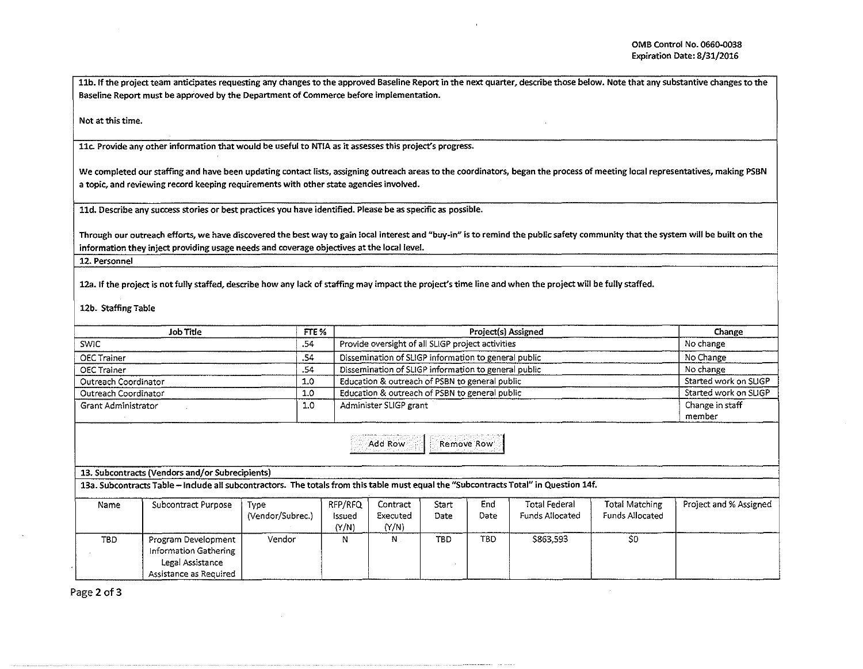11b. If the project team anticipates requesting any changes to the approved Baseline Report in the next quarter, describe those below. Note that any substantive changes to the Baseline Report must be approved by the Department of Commerce before implementation.

Not at this time.

llc. Provide any other information that would be useful to NTIA as it assesses this project's progress.

We completed our staffing and have been updating contact lists, assigning outreach areas to the coordinators, began the process of meeting local representatives, making PSBN a topic, and reviewing record keeping requirements with other state agencies involved.

11d. Describe any success stories or best practices you have identified. Please be as specific as possible.

Through our outreach efforts, we have discovered the best way to gain local interest and "buy-in" is to remind the public safety community that the system will be built on the information they inject providing usage needs and coverage objectives at the local level.

12. Personnel

12a. If the project is not fully staffed, describe how any lack of staffing may impact the project's time line and when the project will be fully staffed.

12b. Staffing Table

| Job Title                                                                                                                             |                                                                                            |                          | FTE %                      |                                                      | Change                |             |                                                |                                   |                        |
|---------------------------------------------------------------------------------------------------------------------------------------|--------------------------------------------------------------------------------------------|--------------------------|----------------------------|------------------------------------------------------|-----------------------|-------------|------------------------------------------------|-----------------------------------|------------------------|
| <b>SWIC</b>                                                                                                                           |                                                                                            |                          |                            | Provide oversight of all SLIGP project activities    |                       |             |                                                |                                   | No change              |
| <b>OEC Trainer</b>                                                                                                                    |                                                                                            |                          |                            | Dissemination of SLIGP information to general public |                       |             |                                                |                                   | No Change              |
| .54<br><b>OEC Trainer</b>                                                                                                             |                                                                                            |                          |                            | Dissemination of SLIGP information to general public | No change             |             |                                                |                                   |                        |
| 1.0<br>Outreach Coordinator                                                                                                           |                                                                                            |                          |                            | Education & outreach of PSBN to general public       | Started work on SLIGP |             |                                                |                                   |                        |
| 1.0<br>Outreach Coordinator                                                                                                           |                                                                                            |                          |                            | Education & outreach of PSBN to general public       | Started work on SLIGP |             |                                                |                                   |                        |
| Grant Administrator                                                                                                                   |                                                                                            |                          |                            | Administer SLIGP grant                               | Change in staff       |             |                                                |                                   |                        |
|                                                                                                                                       |                                                                                            |                          |                            |                                                      | member                |             |                                                |                                   |                        |
| Add Row<br>Remove Row                                                                                                                 |                                                                                            |                          |                            |                                                      |                       |             |                                                |                                   |                        |
| 13. Subcontracts (Vendors and/or Subrecipients)                                                                                       |                                                                                            |                          |                            |                                                      |                       |             |                                                |                                   |                        |
| 13a. Subcontracts Table – Include all subcontractors. The totals from this table must equal the "Subcontracts Total" in Question 14f. |                                                                                            |                          |                            |                                                      |                       |             |                                                |                                   |                        |
| Name                                                                                                                                  | <b>Subcontract Purpose</b>                                                                 | Type<br>(Vendor/Subrec.) | RFP/RFQ<br>issued<br>(Y/N) | Contract<br>Executed<br>(Y/N)                        | Start<br>Date         | End<br>Date | <b>Total Federal</b><br><b>Funds Allocated</b> | Total Matching<br>Funds Allocated | Project and % Assigned |
| TBD.                                                                                                                                  | Program Development<br>Information Gathering<br>Legal Assistance<br>Assistance as Required | Vendor                   | N                          | $N$ .                                                | TBD.                  | <b>TBD</b>  | \$863,593                                      | \$O                               |                        |

Page 2 of 3